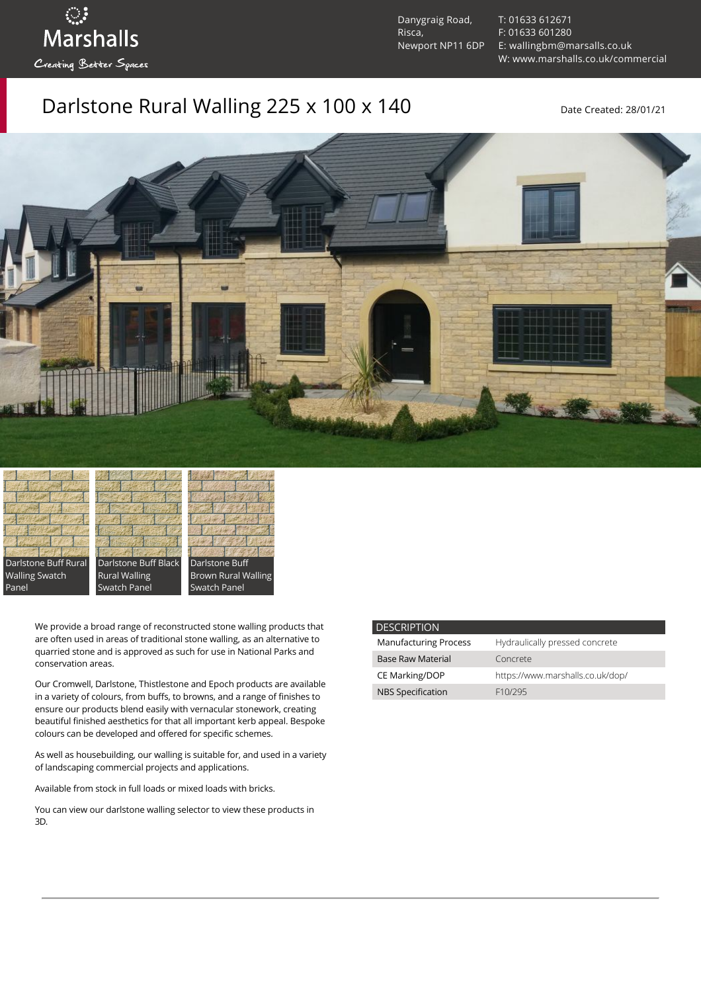Danygraig Road, Risca, Newport NP11 6DP [T: 01633 612671](tel:01633%20612671) [F: 01633 601280](tel:01633%20601280) [E: wallingbm@marsalls.co.uk](mailto:wallingbm@marsalls.co.uk) [W: www.marshalls.co.uk/commercial](https://www.marshalls.co.uk/commercial)

Darlstone Rural Walling  $225 \times 100 \times 140$  Date Created: 28/01/21



Darlstone Buff Rural Walling Swatch Panel

Darlstone Buff Black Rural Walling Swatch Panel

ः<br>Marshalls

Creating Better Spaces



We provide a broad range of reconstructed stone walling products that are often used in areas of traditional stone walling, as an alternative to quarried stone and is approved as such for use in National Parks and conservation areas.

Our [Cromwell](https://www.marshalls.co.uk/commercial/product/cromwell-stone-walling), Darlstone, [Thistlestone](https://www.marshalls.co.uk/commercial/product/thistlestone-stone-walling) and Epoch products are available in a variety of colours, from buffs, to browns, and a range of finishes to ensure our products blend easily with vernacular stonework, creating beautiful finished aesthetics for that all important kerb appeal. Bespoke colours can be developed and offered for specific schemes.

As well as housebuilding, our walling is suitable for, and used in a variety of landscaping commercial projects and applications.

Available from stock in full loads or mixed loads with bricks.

You can view our [darlstone walling selector](https://www.paverpicker.com/paverpicker/?u=edenhall&cat=walling&subcat=darlstone_walling) to view these products in 3D.

| <b>DESCRIPTION</b>           |                                  |
|------------------------------|----------------------------------|
| <b>Manufacturing Process</b> | Hydraulically pressed concrete   |
| <b>Base Raw Material</b>     | Concrete                         |
| CE Marking/DOP               | https://www.marshalls.co.uk/dop/ |
| <b>NBS Specification</b>     | F <sub>10</sub> /295             |
|                              |                                  |